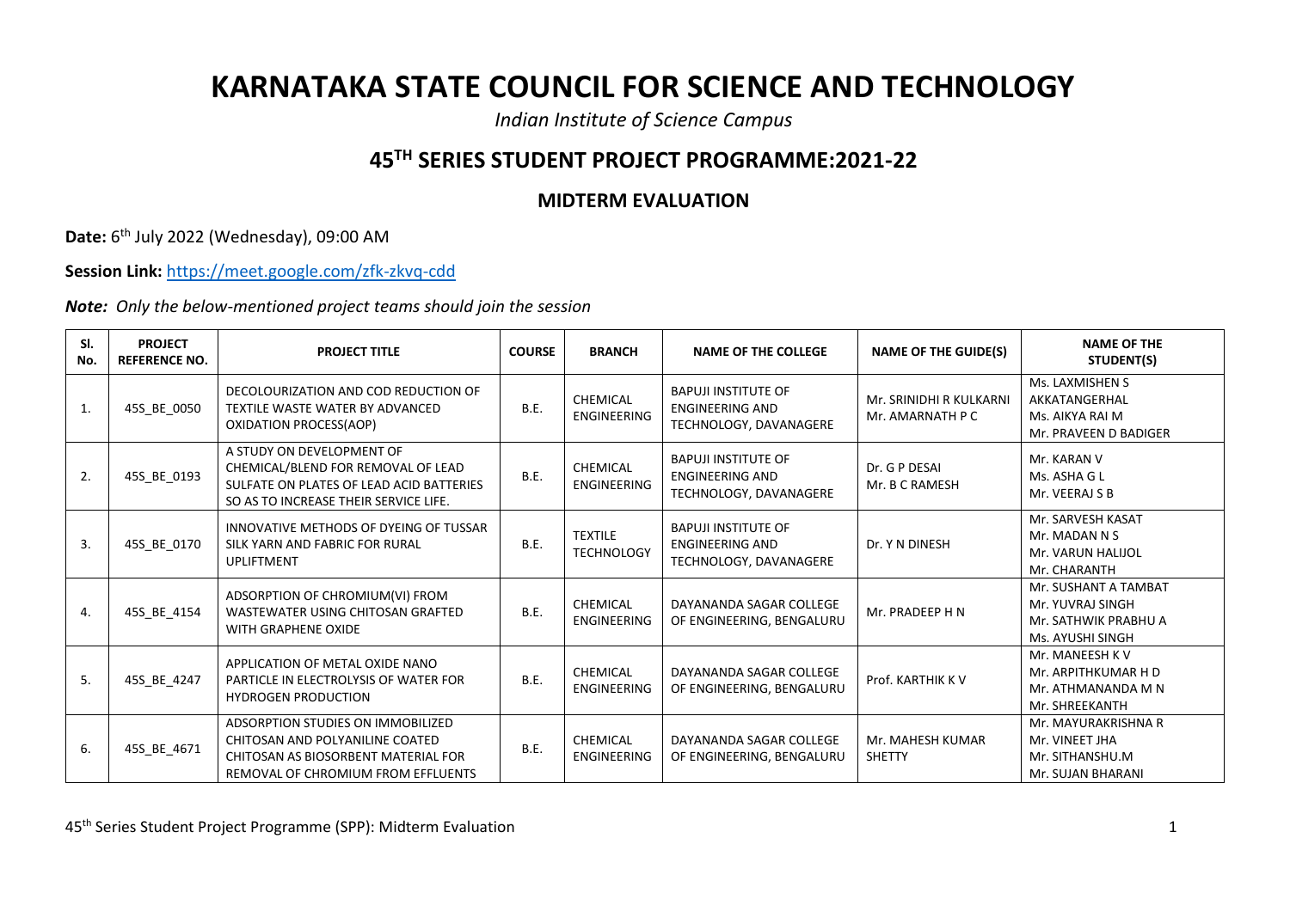## **KARNATAKA STATE COUNCIL FOR SCIENCE AND TECHNOLOGY**

*Indian Institute of Science Campus*

## **45TH SERIES STUDENT PROJECT PROGRAMME:2021-22**

## **MIDTERM EVALUATION**

**Date:** 6<sup>th</sup> July 2022 (Wednesday), 09:00 AM

**Session Link:** <https://meet.google.com/zfk-zkvq-cdd>

*Note: Only the below-mentioned project teams should join the session*

| SI.<br>No. | <b>PROJECT</b><br><b>REFERENCE NO.</b> | <b>PROJECT TITLE</b>                                                                                                                                     | <b>COURSE</b> | <b>BRANCH</b>                       | <b>NAME OF THE COLLEGE</b>                                                     | <b>NAME OF THE GUIDE(S)</b>                 | <b>NAME OF THE</b><br>STUDENT(S)                                                     |
|------------|----------------------------------------|----------------------------------------------------------------------------------------------------------------------------------------------------------|---------------|-------------------------------------|--------------------------------------------------------------------------------|---------------------------------------------|--------------------------------------------------------------------------------------|
| 1.         | 45S_BE_0050                            | DECOLOURIZATION AND COD REDUCTION OF<br>TEXTILE WASTE WATER BY ADVANCED<br>OXIDATION PROCESS(AOP)                                                        | <b>B.E.</b>   | CHEMICAL<br><b>ENGINEERING</b>      | <b>BAPUJI INSTITUTE OF</b><br><b>ENGINEERING AND</b><br>TECHNOLOGY, DAVANAGERE | Mr. SRINIDHI R KULKARNI<br>Mr. AMARNATH P C | Ms. LAXMISHEN S<br>AKKATANGERHAL<br>Ms. AIKYA RAI M<br>Mr. PRAVEEN D BADIGER         |
| 2.         | 45S_BE_0193                            | A STUDY ON DEVELOPMENT OF<br>CHEMICAL/BLEND FOR REMOVAL OF LEAD<br>SULFATE ON PLATES OF LEAD ACID BATTERIES<br>SO AS TO INCREASE THEIR SERVICE LIFE.     | B.E.          | CHEMICAL<br><b>ENGINEERING</b>      | <b>BAPUJI INSTITUTE OF</b><br><b>ENGINEERING AND</b><br>TECHNOLOGY, DAVANAGERE | Dr. G P DESAI<br>Mr. B C RAMESH             | Mr. KARAN V<br>Ms. ASHA G L<br>Mr. VEERAJ S B                                        |
| 3.         | 45S_BE_0170                            | INNOVATIVE METHODS OF DYEING OF TUSSAR<br>SILK YARN AND FABRIC FOR RURAL<br><b>UPLIFTMENT</b>                                                            | B.E.          | <b>TEXTILE</b><br><b>TECHNOLOGY</b> | <b>BAPUJI INSTITUTE OF</b><br><b>ENGINEERING AND</b><br>TECHNOLOGY, DAVANAGERE | Dr. Y N DINESH                              | Mr. SARVESH KASAT<br>Mr. MADAN N S<br>Mr. VARUN HALIJOL<br>Mr. CHARANTH              |
| 4.         | 45S_BE_4154                            | ADSORPTION OF CHROMIUM(VI) FROM<br>WASTEWATER USING CHITOSAN GRAFTED<br>WITH GRAPHENE OXIDE                                                              | <b>B.E.</b>   | CHEMICAL<br><b>ENGINEERING</b>      | DAYANANDA SAGAR COLLEGE<br>OF ENGINEERING, BENGALURU                           | Mr. PRADEEP H N                             | Mr. SUSHANT A TAMBAT<br>Mr. YUVRAJ SINGH<br>Mr. SATHWIK PRABHU A<br>Ms. AYUSHI SINGH |
| 5.         | 45S_BE_4247                            | APPLICATION OF METAL OXIDE NANO<br>PARTICLE IN ELECTROLYSIS OF WATER FOR<br><b>HYDROGEN PRODUCTION</b>                                                   | <b>B.E.</b>   | CHEMICAL<br><b>ENGINEERING</b>      | DAYANANDA SAGAR COLLEGE<br>OF ENGINEERING, BENGALURU                           | Prof. KARTHIK K V                           | Mr. MANEESH K V<br>Mr. ARPITHKUMAR H D<br>Mr. ATHMANANDA M N<br>Mr. SHREEKANTH       |
| 6.         | 45S_BE_4671                            | <b>ADSORPTION STUDIES ON IMMOBILIZED</b><br>CHITOSAN AND POLYANILINE COATED<br>CHITOSAN AS BIOSORBENT MATERIAL FOR<br>REMOVAL OF CHROMIUM FROM EFFLUENTS | <b>B.E.</b>   | CHEMICAL<br><b>ENGINEERING</b>      | DAYANANDA SAGAR COLLEGE<br>OF ENGINEERING, BENGALURU                           | Mr. MAHESH KUMAR<br><b>SHETTY</b>           | Mr. MAYURAKRISHNA R<br>Mr. VINEET JHA<br>Mr. SITHANSHU.M<br>Mr. SUJAN BHARANI        |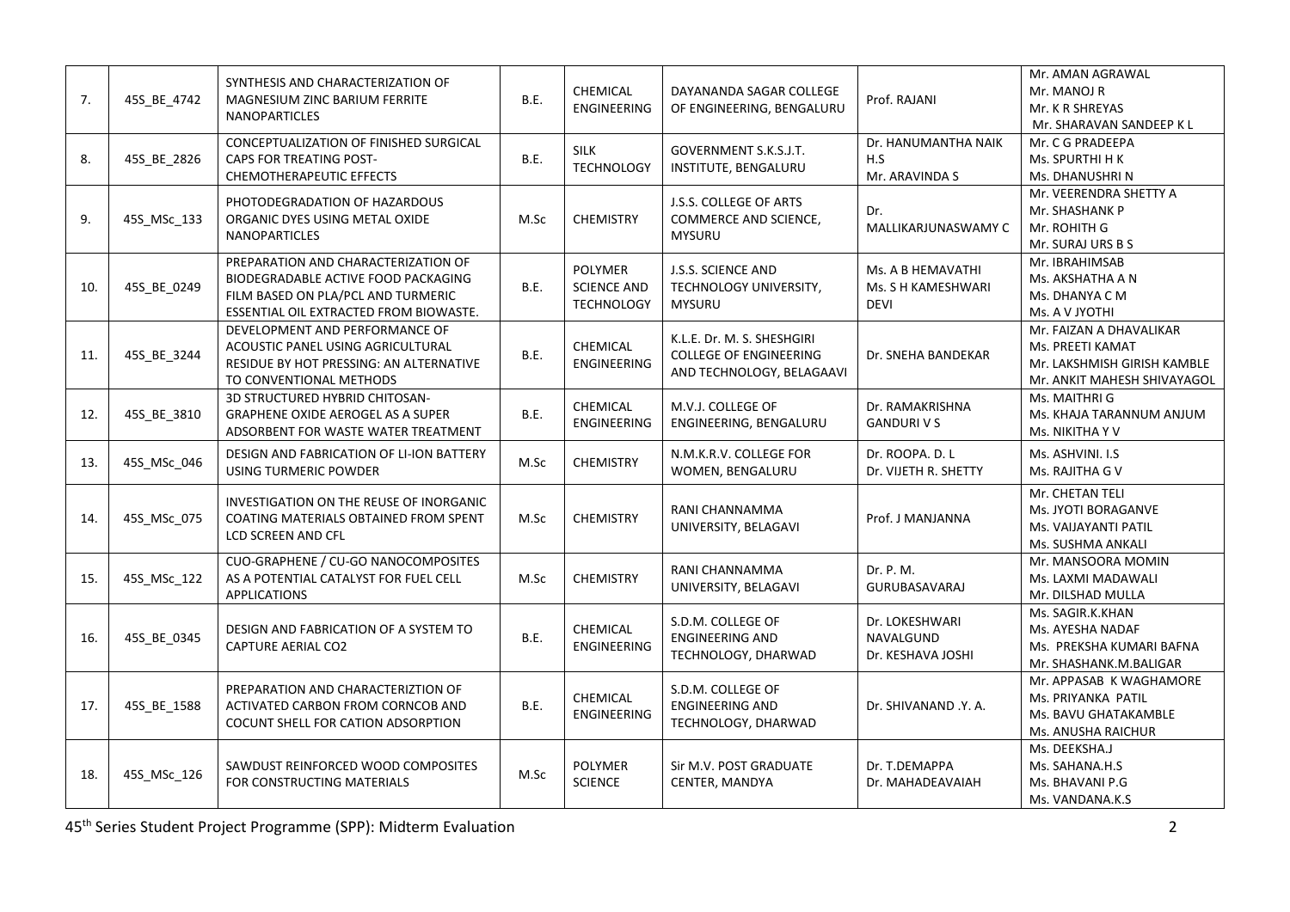| 7.  | 45S_BE_4742 | SYNTHESIS AND CHARACTERIZATION OF<br><b>MAGNESIUM ZINC BARIUM FERRITE</b><br><b>NANOPARTICLES</b>                                                          | B.E. | <b>CHEMICAL</b><br><b>ENGINEERING</b>                     | DAYANANDA SAGAR COLLEGE<br>OF ENGINEERING, BENGALURU                                     | Prof. RAJANI                                           | Mr. AMAN AGRAWAL<br>Mr. MANOJ R<br>Mr. K R SHREYAS<br>Mr. SHARAVAN SANDEEP K L                            |
|-----|-------------|------------------------------------------------------------------------------------------------------------------------------------------------------------|------|-----------------------------------------------------------|------------------------------------------------------------------------------------------|--------------------------------------------------------|-----------------------------------------------------------------------------------------------------------|
| 8.  | 45S_BE_2826 | CONCEPTUALIZATION OF FINISHED SURGICAL<br>CAPS FOR TREATING POST-<br>CHEMOTHERAPEUTIC EFFECTS                                                              | B.E. | SILK<br><b>TECHNOLOGY</b>                                 | GOVERNMENT S.K.S.J.T.<br>INSTITUTE, BENGALURU                                            | Dr. HANUMANTHA NAIK<br>H.S<br>Mr. ARAVINDA S           | Mr. C G PRADEEPA<br>Ms. SPURTHI H K<br>Ms. DHANUSHRI N                                                    |
| 9.  | 45S_MSc_133 | PHOTODEGRADATION OF HAZARDOUS<br>ORGANIC DYES USING METAL OXIDE<br><b>NANOPARTICLES</b>                                                                    | M.Sc | <b>CHEMISTRY</b>                                          | J.S.S. COLLEGE OF ARTS<br>COMMERCE AND SCIENCE,<br><b>MYSURU</b>                         | Dr.<br>MALLIKARJUNASWAMY C                             | Mr. VEERENDRA SHETTY A<br>Mr. SHASHANK P<br>Mr. ROHITH G<br>Mr. SURAJ URS B S                             |
| 10. | 45S_BE_0249 | PREPARATION AND CHARACTERIZATION OF<br>BIODEGRADABLE ACTIVE FOOD PACKAGING<br>FILM BASED ON PLA/PCL AND TURMERIC<br>ESSENTIAL OIL EXTRACTED FROM BIOWASTE. | B.E. | <b>POLYMER</b><br><b>SCIENCE AND</b><br><b>TECHNOLOGY</b> | J.S.S. SCIENCE AND<br>TECHNOLOGY UNIVERSITY,<br><b>MYSURU</b>                            | Ms. A B HEMAVATHI<br>Ms. S H KAMESHWARI<br><b>DEVI</b> | Mr. IBRAHIMSAB<br>Ms. AKSHATHA A N<br>Ms. DHANYA C M<br>Ms. A V JYOTHI                                    |
| 11. | 45S_BE_3244 | DEVELOPMENT AND PERFORMANCE OF<br>ACOUSTIC PANEL USING AGRICULTURAL<br>RESIDUE BY HOT PRESSING: AN ALTERNATIVE<br>TO CONVENTIONAL METHODS                  | B.E. | CHEMICAL<br><b>ENGINEERING</b>                            | K.L.E. Dr. M. S. SHESHGIRI<br><b>COLLEGE OF ENGINEERING</b><br>AND TECHNOLOGY, BELAGAAVI | Dr. SNEHA BANDEKAR                                     | Mr. FAIZAN A DHAVALIKAR<br>Ms. PREETI KAMAT<br>Mr. LAKSHMISH GIRISH KAMBLE<br>Mr. ANKIT MAHESH SHIVAYAGOL |
| 12. | 45S_BE_3810 | 3D STRUCTURED HYBRID CHITOSAN-<br><b>GRAPHENE OXIDE AEROGEL AS A SUPER</b><br>ADSORBENT FOR WASTE WATER TREATMENT                                          | B.E. | <b>CHEMICAL</b><br><b>ENGINEERING</b>                     | M.V.J. COLLEGE OF<br>ENGINEERING, BENGALURU                                              | Dr. RAMAKRISHNA<br><b>GANDURIVS</b>                    | Ms. MAITHRI G<br>Ms. KHAJA TARANNUM ANJUM<br>Ms. NIKITHA Y V                                              |
| 13. | 45S_MSc_046 | DESIGN AND FABRICATION OF LI-ION BATTERY<br><b>USING TURMERIC POWDER</b>                                                                                   | M.Sc | <b>CHEMISTRY</b>                                          | N.M.K.R.V. COLLEGE FOR<br>WOMEN, BENGALURU                                               | Dr. ROOPA. D. L<br>Dr. VIJETH R. SHETTY                | Ms. ASHVINI. I.S<br>Ms. RAJITHA G V                                                                       |
| 14. | 45S_MSc_075 | INVESTIGATION ON THE REUSE OF INORGANIC<br>COATING MATERIALS OBTAINED FROM SPENT<br>LCD SCREEN AND CFL                                                     | M.Sc | <b>CHEMISTRY</b>                                          | RANI CHANNAMMA<br>UNIVERSITY, BELAGAVI                                                   | Prof. J MANJANNA                                       | Mr. CHETAN TELI<br>Ms. JYOTI BORAGANVE<br>Ms. VAIJAYANTI PATIL<br>Ms. SUSHMA ANKALI                       |
| 15. | 45S_MSc_122 | CUO-GRAPHENE / CU-GO NANOCOMPOSITES<br>AS A POTENTIAL CATALYST FOR FUEL CELL<br><b>APPLICATIONS</b>                                                        | M.Sc | <b>CHEMISTRY</b>                                          | RANI CHANNAMMA<br>UNIVERSITY, BELAGAVI                                                   | Dr. P. M.<br>GURUBASAVARAJ                             | Mr. MANSOORA MOMIN<br>Ms. LAXMI MADAWALI<br>Mr. DILSHAD MULLA                                             |
| 16. | 45S_BE_0345 | DESIGN AND FABRICATION OF A SYSTEM TO<br><b>CAPTURE AERIAL CO2</b>                                                                                         | B.E. | <b>CHEMICAL</b><br><b>ENGINEERING</b>                     | S.D.M. COLLEGE OF<br><b>ENGINEERING AND</b><br>TECHNOLOGY, DHARWAD                       | Dr. LOKESHWARI<br>NAVALGUND<br>Dr. KESHAVA JOSHI       | Ms. SAGIR.K.KHAN<br>Ms. AYESHA NADAF<br>Ms. PREKSHA KUMARI BAFNA<br>Mr. SHASHANK.M.BALIGAR                |
| 17. | 45S BE 1588 | PREPARATION AND CHARACTERIZTION OF<br>ACTIVATED CARBON FROM CORNCOB AND<br>COCUNT SHELL FOR CATION ADSORPTION                                              | B.E. | CHEMICAL<br><b>ENGINEERING</b>                            | S.D.M. COLLEGE OF<br><b>ENGINEERING AND</b><br>TECHNOLOGY, DHARWAD                       | Dr. SHIVANAND .Y. A.                                   | Mr. APPASAB K WAGHAMORE<br>Ms. PRIYANKA PATIL<br>Ms. BAVU GHATAKAMBLE<br>Ms. ANUSHA RAICHUR               |
| 18. | 45S_MSc_126 | SAWDUST REINFORCED WOOD COMPOSITES<br>FOR CONSTRUCTING MATERIALS                                                                                           | M.Sc | <b>POLYMER</b><br><b>SCIENCE</b>                          | Sir M.V. POST GRADUATE<br>CENTER, MANDYA                                                 | Dr. T.DEMAPPA<br>Dr. MAHADEAVAIAH                      | Ms. DEEKSHA.J<br>Ms. SAHANA.H.S<br>Ms. BHAVANI P.G<br>Ms. VANDANA.K.S                                     |

45th Series Student Project Programme (SPP): Midterm Evaluation 2